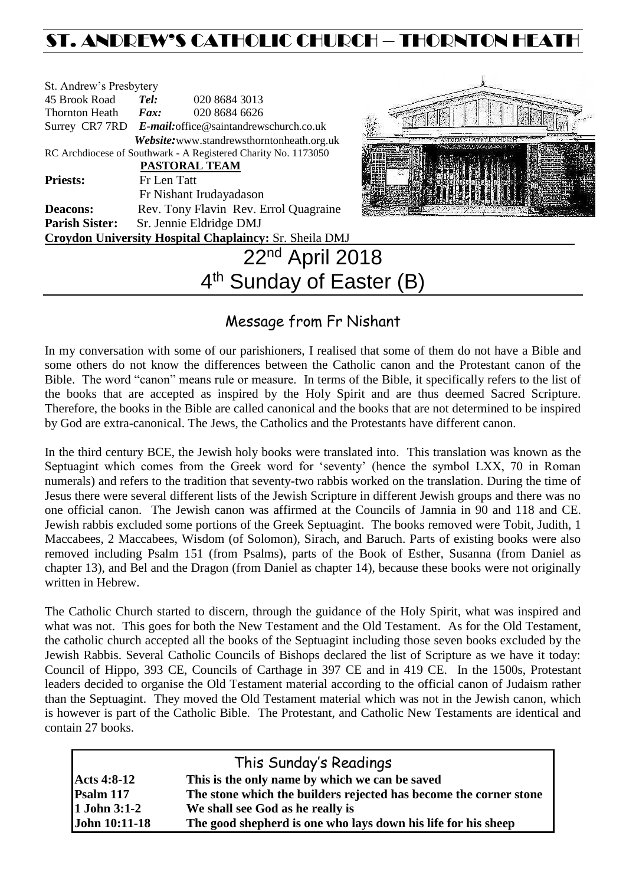# ST. ANDREW'S CATHOLIC CHURCH – THORNTON HEATH

| St. Andrew's Presbytery                                        |                                       |                         |  |                                            |  |
|----------------------------------------------------------------|---------------------------------------|-------------------------|--|--------------------------------------------|--|
| 45 Brook Road                                                  | Tel:                                  | 020 8684 3013           |  |                                            |  |
| <b>Thornton Heath</b>                                          | $\boldsymbol{F}$ <i>ax</i> :          | 020 8684 6626           |  |                                            |  |
| Surrey CR7 7RD E-mail: office@saintandrewschurch.co.uk         |                                       |                         |  |                                            |  |
|                                                                |                                       |                         |  | Website: www.standrewsthorntonheath.org.uk |  |
| RC Archdiocese of Southwark - A Registered Charity No. 1173050 |                                       |                         |  |                                            |  |
| <b>PASTORAL TEAM</b>                                           |                                       |                         |  |                                            |  |
| <b>Priests:</b>                                                | Fr Len Tatt                           |                         |  |                                            |  |
|                                                                |                                       | Fr Nishant Irudayadason |  |                                            |  |
| <b>Deacons:</b>                                                | Rev. Tony Flavin Rev. Errol Quagraine |                         |  |                                            |  |
| <b>Parish Sister:</b>                                          | Sr. Jennie Eldridge DMJ               |                         |  |                                            |  |
| <b>Croydon University Hospital Chaplaincy: Sr. Sheila DMJ</b>  |                                       |                         |  |                                            |  |
|                                                                |                                       |                         |  | 22 <sup>nd</sup> April 2018                |  |



# Message from Fr Nishant

4<sup>th</sup> Sunday of Easter (B)

In my conversation with some of our parishioners, I realised that some of them do not have a Bible and some others do not know the differences between the Catholic canon and the Protestant canon of the Bible. The word "canon" means rule or measure. In terms of the Bible, it specifically refers to the list of the books that are accepted as inspired by the Holy Spirit and are thus deemed Sacred Scripture. Therefore, the books in the Bible are called canonical and the books that are not determined to be inspired by God are extra-canonical. The Jews, the Catholics and the Protestants have different canon.

In the third century BCE, the Jewish holy books were translated into. This translation was known as the Septuagint which comes from the Greek word for 'seventy' (hence the symbol LXX, 70 in Roman numerals) and refers to the tradition that seventy-two rabbis worked on the translation. During the time of Jesus there were several different lists of the Jewish Scripture in different Jewish groups and there was no one official canon. The Jewish canon was affirmed at the Councils of Jamnia in 90 and 118 and CE. Jewish rabbis excluded some portions of the Greek Septuagint. The books removed were Tobit, Judith, 1 Maccabees, 2 Maccabees, Wisdom (of Solomon), Sirach, and Baruch. Parts of existing books were also removed including Psalm 151 (from Psalms), parts of the Book of Esther, Susanna (from Daniel as chapter 13), and Bel and the Dragon (from Daniel as chapter 14), because these books were not originally written in Hebrew.

The Catholic Church started to discern, through the guidance of the Holy Spirit, what was inspired and what was not. This goes for both the New Testament and the Old Testament. As for the Old Testament, the catholic church accepted all the books of the Septuagint including those seven books excluded by the Jewish Rabbis. Several Catholic Councils of Bishops declared the list of Scripture as we have it today: Council of Hippo, 393 CE, Councils of Carthage in 397 CE and in 419 CE. In the 1500s, Protestant leaders decided to organise the Old Testament material according to the official canon of Judaism rather than the Septuagint. They moved the Old Testament material which was not in the Jewish canon, which is however is part of the Catholic Bible. The Protestant, and Catholic New Testaments are identical and contain 27 books.

| This Sunday's Readings |                                                                   |  |  |  |
|------------------------|-------------------------------------------------------------------|--|--|--|
| <b>Acts 4:8-12</b>     | This is the only name by which we can be saved                    |  |  |  |
| Psalm 117              | The stone which the builders rejected has become the corner stone |  |  |  |
| 1 John 3:1-2           | We shall see God as he really is                                  |  |  |  |
| John 10:11-18          | The good shepherd is one who lays down his life for his sheep     |  |  |  |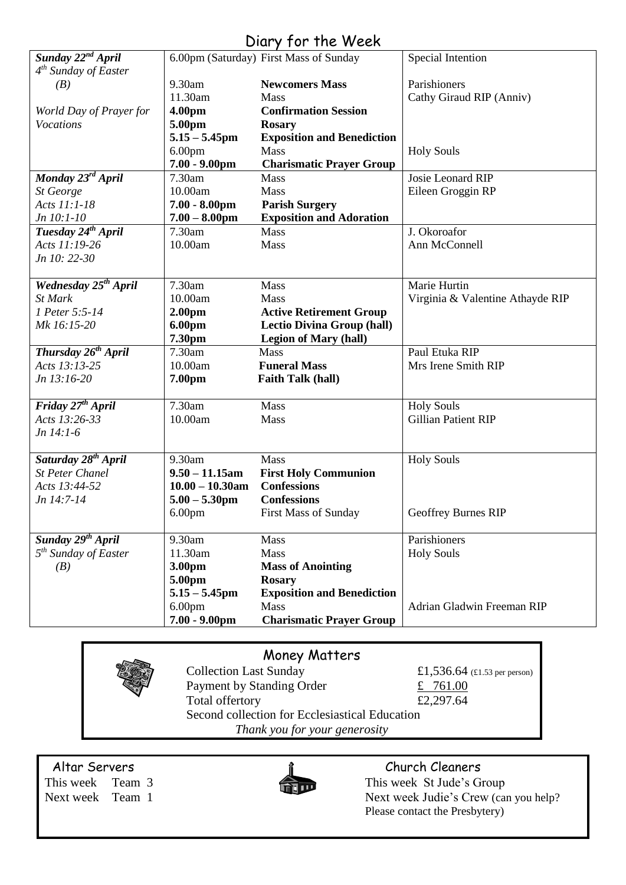# Diary for the Week

| Sunday 22 <sup>nd</sup> April    |                    | 6.00pm (Saturday) First Mass of Sunday | Special Intention                |
|----------------------------------|--------------------|----------------------------------------|----------------------------------|
| $4th$ Sunday of Easter           |                    |                                        |                                  |
| (B)                              | 9.30am             | <b>Newcomers Mass</b>                  | Parishioners                     |
|                                  | 11.30am            | <b>Mass</b>                            | Cathy Giraud RIP (Anniv)         |
| World Day of Prayer for          | 4.00pm             | <b>Confirmation Session</b>            |                                  |
| <b>Vocations</b>                 | 5.00pm             | <b>Rosary</b>                          |                                  |
|                                  | $5.15 - 5.45$ pm   | <b>Exposition and Benediction</b>      |                                  |
|                                  | 6.00 <sub>pm</sub> | Mass                                   | <b>Holy Souls</b>                |
|                                  | $7.00 - 9.00$ pm   | <b>Charismatic Prayer Group</b>        |                                  |
| Monday 23rd April                | 7.30am             | <b>Mass</b>                            | Josie Leonard RIP                |
| St George                        | 10.00am            | Mass                                   | Eileen Groggin RP                |
| Acts 11:1-18                     | $7.00 - 8.00$ pm   | <b>Parish Surgery</b>                  |                                  |
| Jn 10:1-10                       | $7.00 - 8.00$ pm   | <b>Exposition and Adoration</b>        |                                  |
| Tuesday 24 <sup>th</sup> April   | 7.30am             | <b>Mass</b>                            | J. Okoroafor                     |
| Acts 11:19-26                    | 10.00am            | Mass                                   | Ann McConnell                    |
| Jn 10: 22-30                     |                    |                                        |                                  |
|                                  |                    |                                        |                                  |
| Wednesday 25 <sup>th</sup> April | 7.30am             | Mass                                   | Marie Hurtin                     |
| <b>St Mark</b>                   | 10.00am            | Mass                                   | Virginia & Valentine Athayde RIP |
| 1 Peter 5:5-14                   | 2.00 <sub>pm</sub> | <b>Active Retirement Group</b>         |                                  |
| Mk 16:15-20                      | 6.00pm             | <b>Lectio Divina Group (hall)</b>      |                                  |
|                                  | 7.30pm             | <b>Legion of Mary (hall)</b>           |                                  |
| Thursday 26 <sup>th</sup> April  | 7.30am             | Mass                                   | Paul Etuka RIP                   |
| Acts 13:13-25                    | 10.00am            | <b>Funeral Mass</b>                    | Mrs Irene Smith RIP              |
| Jn 13:16-20                      | 7.00pm             | <b>Faith Talk (hall)</b>               |                                  |
|                                  |                    |                                        |                                  |
| Friday 27 <sup>th</sup> April    | 7.30am             | Mass                                   | <b>Holy Souls</b>                |
| Acts 13:26-33                    | 10.00am            | Mass                                   | <b>Gillian Patient RIP</b>       |
| $Jn$ 14:1-6                      |                    |                                        |                                  |
|                                  |                    |                                        |                                  |
| Saturday 28 <sup>th</sup> April  | 9.30am             | Mass                                   | <b>Holy Souls</b>                |
| <b>St Peter Chanel</b>           | $9.50 - 11.15$ am  | <b>First Holy Communion</b>            |                                  |
| Acts 13:44-52                    | $10.00 - 10.30$ am | <b>Confessions</b>                     |                                  |
| Jn 14:7-14                       | $5.00 - 5.30$ pm   | <b>Confessions</b>                     |                                  |
|                                  | 6.00 <sub>pm</sub> | <b>First Mass of Sunday</b>            | Geoffrey Burnes RIP              |
|                                  |                    |                                        |                                  |
| Sunday 29 <sup>th</sup> April    | 9.30am             | <b>Mass</b>                            | Parishioners                     |
| 5 <sup>th</sup> Sunday of Easter | 11.30am            | <b>Mass</b>                            | <b>Holy Souls</b>                |
| (B)                              | 3.00pm             | <b>Mass of Anointing</b>               |                                  |
|                                  | 5.00pm             | <b>Rosary</b>                          |                                  |
|                                  | $5.15 - 5.45$ pm   | <b>Exposition and Benediction</b>      |                                  |
|                                  | 6.00 <sub>pm</sub> | Mass                                   | Adrian Gladwin Freeman RIP       |
|                                  | $7.00 - 9.00$ pm   | <b>Charismatic Prayer Group</b>        |                                  |
|                                  |                    |                                        |                                  |

# Money Matters

Collection Last Sunday  $£1,536.64$  (£1.53 per person) Payment by Standing Order  $\angle 761.00$ Total offertory  $£2,297.64$ Second collection for Ecclesiastical Education *Thank you for your generosity*

Altar Servers and the church Cleaners and the Church Cleaners



This week Team 3 This week St Jude's Group Next week Team 1 Next week Judie's Crew (can you help? Please contact the Presbytery)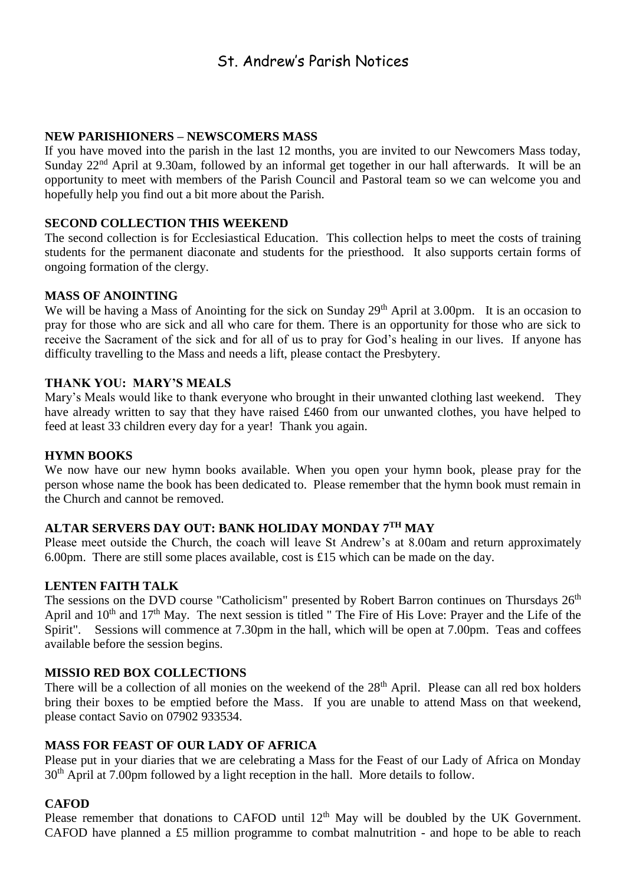# St. Andrew's Parish Notices

## **NEW PARISHIONERS – NEWSCOMERS MASS**

If you have moved into the parish in the last 12 months, you are invited to our Newcomers Mass today, Sunday 22<sup>nd</sup> April at 9.30am, followed by an informal get together in our hall afterwards. It will be an opportunity to meet with members of the Parish Council and Pastoral team so we can welcome you and hopefully help you find out a bit more about the Parish.

### **SECOND COLLECTION THIS WEEKEND**

The second collection is for Ecclesiastical Education. This collection helps to meet the costs of training students for the permanent diaconate and students for the priesthood. It also supports certain forms of ongoing formation of the clergy.

#### **MASS OF ANOINTING**

We will be having a Mass of Anointing for the sick on Sunday 29<sup>th</sup> April at 3.00pm. It is an occasion to pray for those who are sick and all who care for them. There is an opportunity for those who are sick to receive the Sacrament of the sick and for all of us to pray for God's healing in our lives. If anyone has difficulty travelling to the Mass and needs a lift, please contact the Presbytery.

#### **THANK YOU: MARY'S MEALS**

Mary's Meals would like to thank everyone who brought in their unwanted clothing last weekend. They have already written to say that they have raised £460 from our unwanted clothes, you have helped to feed at least 33 children every day for a year! Thank you again.

#### **HYMN BOOKS**

We now have our new hymn books available. When you open your hymn book, please pray for the person whose name the book has been dedicated to. Please remember that the hymn book must remain in the Church and cannot be removed.

## **ALTAR SERVERS DAY OUT: BANK HOLIDAY MONDAY 7TH MAY**

Please meet outside the Church, the coach will leave St Andrew's at 8.00am and return approximately 6.00pm. There are still some places available, cost is £15 which can be made on the day.

#### **LENTEN FAITH TALK**

The sessions on the DVD course "Catholicism" presented by Robert Barron continues on Thursdays 26<sup>th</sup> April and 10<sup>th</sup> and 17<sup>th</sup> May. The next session is titled " The Fire of His Love: Prayer and the Life of the Spirit". Sessions will commence at 7.30pm in the hall, which will be open at 7.00pm. Teas and coffees available before the session begins.

#### **MISSIO RED BOX COLLECTIONS**

There will be a collection of all monies on the weekend of the 28<sup>th</sup> April. Please can all red box holders bring their boxes to be emptied before the Mass. If you are unable to attend Mass on that weekend, please contact Savio on 07902 933534.

#### **MASS FOR FEAST OF OUR LADY OF AFRICA**

Please put in your diaries that we are celebrating a Mass for the Feast of our Lady of Africa on Monday 30<sup>th</sup> April at 7.00pm followed by a light reception in the hall. More details to follow.

#### **CAFOD**

Please remember that donations to CAFOD until  $12<sup>th</sup>$  May will be doubled by the UK Government. CAFOD have planned a £5 million programme to combat malnutrition - and hope to be able to reach